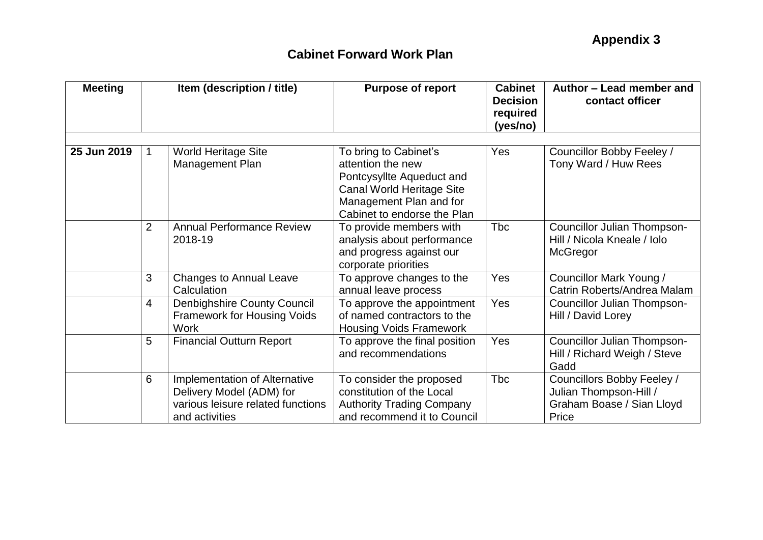| <b>Meeting</b> | Item (description / title) |                                                                                                                  | <b>Purpose of report</b>                                                                                                                                       | <b>Cabinet</b><br><b>Decision</b><br>required<br>(yes/no) | Author - Lead member and<br>contact officer                                                |
|----------------|----------------------------|------------------------------------------------------------------------------------------------------------------|----------------------------------------------------------------------------------------------------------------------------------------------------------------|-----------------------------------------------------------|--------------------------------------------------------------------------------------------|
|                |                            |                                                                                                                  |                                                                                                                                                                |                                                           |                                                                                            |
| 25 Jun 2019    | 1                          | <b>World Heritage Site</b><br>Management Plan                                                                    | To bring to Cabinet's<br>attention the new<br>Pontcysyllte Aqueduct and<br>Canal World Heritage Site<br>Management Plan and for<br>Cabinet to endorse the Plan | Yes                                                       | Councillor Bobby Feeley /<br>Tony Ward / Huw Rees                                          |
|                | 2                          | <b>Annual Performance Review</b><br>2018-19                                                                      | To provide members with<br>analysis about performance<br>and progress against our<br>corporate priorities                                                      | <b>Tbc</b>                                                | Councillor Julian Thompson-<br>Hill / Nicola Kneale / Iolo<br>McGregor                     |
|                | 3                          | <b>Changes to Annual Leave</b><br>Calculation                                                                    | To approve changes to the<br>annual leave process                                                                                                              | Yes                                                       | Councillor Mark Young /<br>Catrin Roberts/Andrea Malam                                     |
|                | 4                          | <b>Denbighshire County Council</b><br><b>Framework for Housing Voids</b><br><b>Work</b>                          | To approve the appointment<br>of named contractors to the<br><b>Housing Voids Framework</b>                                                                    | Yes                                                       | Councillor Julian Thompson-<br>Hill / David Lorey                                          |
|                | 5                          | <b>Financial Outturn Report</b>                                                                                  | To approve the final position<br>and recommendations                                                                                                           | Yes                                                       | Councillor Julian Thompson-<br>Hill / Richard Weigh / Steve<br>Gadd                        |
|                | 6                          | Implementation of Alternative<br>Delivery Model (ADM) for<br>various leisure related functions<br>and activities | To consider the proposed<br>constitution of the Local<br><b>Authority Trading Company</b><br>and recommend it to Council                                       | <b>Tbc</b>                                                | Councillors Bobby Feeley /<br>Julian Thompson-Hill /<br>Graham Boase / Sian Lloyd<br>Price |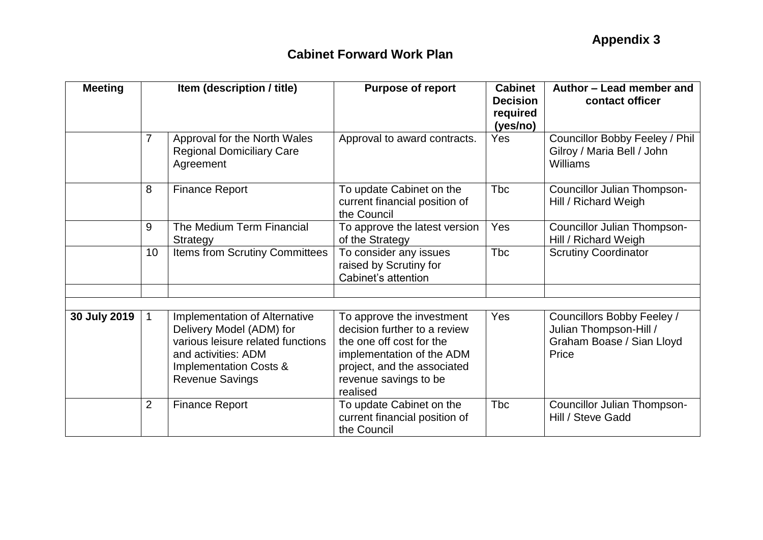| <b>Meeting</b> | Item (description / title) |                                                                                                                                                                                      | <b>Purpose of report</b>                                                                                                                                                               | <b>Cabinet</b><br><b>Decision</b><br>required<br>(yes/no) | Author - Lead member and<br>contact officer                                                |  |
|----------------|----------------------------|--------------------------------------------------------------------------------------------------------------------------------------------------------------------------------------|----------------------------------------------------------------------------------------------------------------------------------------------------------------------------------------|-----------------------------------------------------------|--------------------------------------------------------------------------------------------|--|
|                | 7                          | Approval for the North Wales<br><b>Regional Domiciliary Care</b><br>Agreement                                                                                                        | Approval to award contracts.                                                                                                                                                           | Yes                                                       | Councillor Bobby Feeley / Phil<br>Gilroy / Maria Bell / John<br>Williams                   |  |
|                | 8                          | <b>Finance Report</b>                                                                                                                                                                | To update Cabinet on the<br>current financial position of<br>the Council                                                                                                               | <b>Tbc</b>                                                | <b>Councillor Julian Thompson-</b><br>Hill / Richard Weigh                                 |  |
|                | 9                          | The Medium Term Financial<br><b>Strategy</b>                                                                                                                                         | To approve the latest version<br>of the Strategy                                                                                                                                       | Yes                                                       | Councillor Julian Thompson-<br>Hill / Richard Weigh                                        |  |
|                | 10                         | Items from Scrutiny Committees                                                                                                                                                       | To consider any issues<br>raised by Scrutiny for<br>Cabinet's attention                                                                                                                | <b>Tbc</b>                                                | <b>Scrutiny Coordinator</b>                                                                |  |
|                |                            |                                                                                                                                                                                      |                                                                                                                                                                                        |                                                           |                                                                                            |  |
| 30 July 2019   |                            | Implementation of Alternative<br>Delivery Model (ADM) for<br>various leisure related functions<br>and activities: ADM<br><b>Implementation Costs &amp;</b><br><b>Revenue Savings</b> | To approve the investment<br>decision further to a review<br>the one off cost for the<br>implementation of the ADM<br>project, and the associated<br>revenue savings to be<br>realised | Yes                                                       | Councillors Bobby Feeley /<br>Julian Thompson-Hill /<br>Graham Boase / Sian Lloyd<br>Price |  |
|                | $\overline{2}$             | <b>Finance Report</b>                                                                                                                                                                | To update Cabinet on the<br>current financial position of<br>the Council                                                                                                               | <b>T</b> bc                                               | <b>Councillor Julian Thompson-</b><br>Hill / Steve Gadd                                    |  |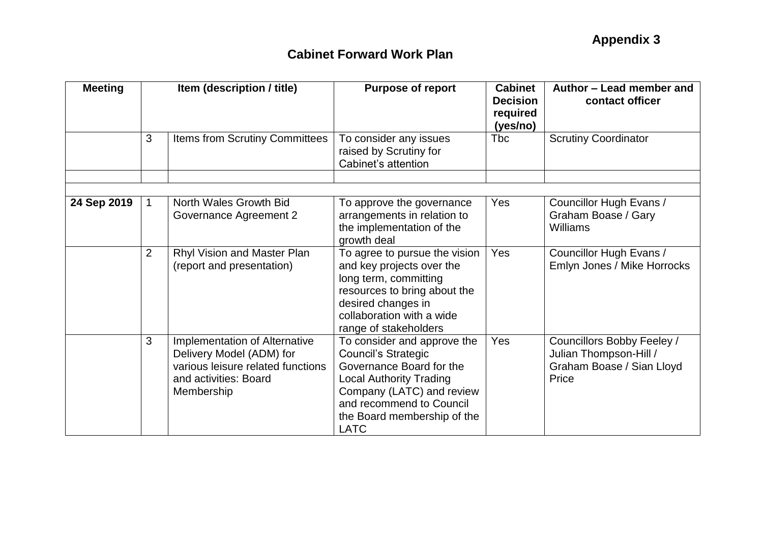| <b>Meeting</b> | Item (description / title) |                                                                                                                                       | <b>Purpose of report</b>                                                                                                                                                                                                       | <b>Cabinet</b><br><b>Decision</b><br>required<br>(yes/no) | Author – Lead member and<br>contact officer                                                |
|----------------|----------------------------|---------------------------------------------------------------------------------------------------------------------------------------|--------------------------------------------------------------------------------------------------------------------------------------------------------------------------------------------------------------------------------|-----------------------------------------------------------|--------------------------------------------------------------------------------------------|
|                | 3                          | Items from Scrutiny Committees                                                                                                        | To consider any issues<br>raised by Scrutiny for<br>Cabinet's attention                                                                                                                                                        | Tbc                                                       | <b>Scrutiny Coordinator</b>                                                                |
|                |                            |                                                                                                                                       |                                                                                                                                                                                                                                |                                                           |                                                                                            |
| 24 Sep 2019    | $\mathbf{1}$               | North Wales Growth Bid<br>Governance Agreement 2                                                                                      | To approve the governance<br>arrangements in relation to<br>the implementation of the<br>growth deal                                                                                                                           | <b>Yes</b>                                                | Councillor Hugh Evans /<br>Graham Boase / Gary<br>Williams                                 |
|                | 2                          | Rhyl Vision and Master Plan<br>(report and presentation)                                                                              | To agree to pursue the vision<br>and key projects over the<br>long term, committing<br>resources to bring about the<br>desired changes in<br>collaboration with a wide<br>range of stakeholders                                | Yes                                                       | Councillor Hugh Evans /<br>Emlyn Jones / Mike Horrocks                                     |
|                | 3                          | Implementation of Alternative<br>Delivery Model (ADM) for<br>various leisure related functions<br>and activities: Board<br>Membership | To consider and approve the<br><b>Council's Strategic</b><br>Governance Board for the<br><b>Local Authority Trading</b><br>Company (LATC) and review<br>and recommend to Council<br>the Board membership of the<br><b>LATC</b> | Yes                                                       | Councillors Bobby Feeley /<br>Julian Thompson-Hill /<br>Graham Boase / Sian Lloyd<br>Price |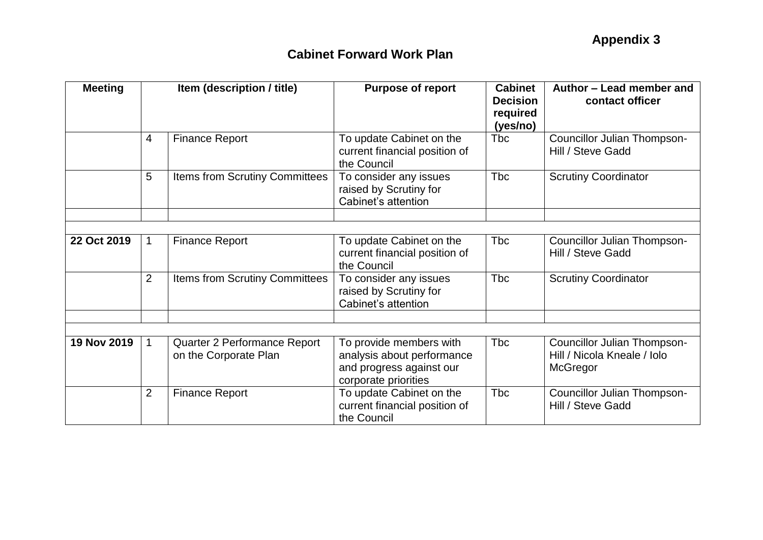| <b>Meeting</b> |                | Item (description / title)                            | <b>Purpose of report</b>                                                                                  | <b>Cabinet</b><br><b>Decision</b><br>required<br>(yes/no) | Author - Lead member and<br>contact officer                            |  |
|----------------|----------------|-------------------------------------------------------|-----------------------------------------------------------------------------------------------------------|-----------------------------------------------------------|------------------------------------------------------------------------|--|
|                | 4              | <b>Finance Report</b>                                 | To update Cabinet on the<br>current financial position of<br>the Council                                  | <b>Tbc</b>                                                | Councillor Julian Thompson-<br>Hill / Steve Gadd                       |  |
|                | 5              | Items from Scrutiny Committees                        | To consider any issues<br>raised by Scrutiny for<br>Cabinet's attention                                   | <b>Tbc</b>                                                | <b>Scrutiny Coordinator</b>                                            |  |
|                |                |                                                       |                                                                                                           |                                                           |                                                                        |  |
| 22 Oct 2019    | 1              | <b>Finance Report</b>                                 | To update Cabinet on the<br>current financial position of<br>the Council                                  | <b>Tbc</b>                                                | Councillor Julian Thompson-<br>Hill / Steve Gadd                       |  |
|                | $\overline{2}$ | Items from Scrutiny Committees                        | To consider any issues<br>raised by Scrutiny for<br>Cabinet's attention                                   | <b>Tbc</b>                                                | <b>Scrutiny Coordinator</b>                                            |  |
|                |                |                                                       |                                                                                                           |                                                           |                                                                        |  |
| 19 Nov 2019    | $\overline{1}$ | Quarter 2 Performance Report<br>on the Corporate Plan | To provide members with<br>analysis about performance<br>and progress against our<br>corporate priorities | <b>Tbc</b>                                                | Councillor Julian Thompson-<br>Hill / Nicola Kneale / Iolo<br>McGregor |  |
|                | $\overline{2}$ | <b>Finance Report</b>                                 | To update Cabinet on the<br>current financial position of<br>the Council                                  | <b>Tbc</b>                                                | <b>Councillor Julian Thompson-</b><br>Hill / Steve Gadd                |  |